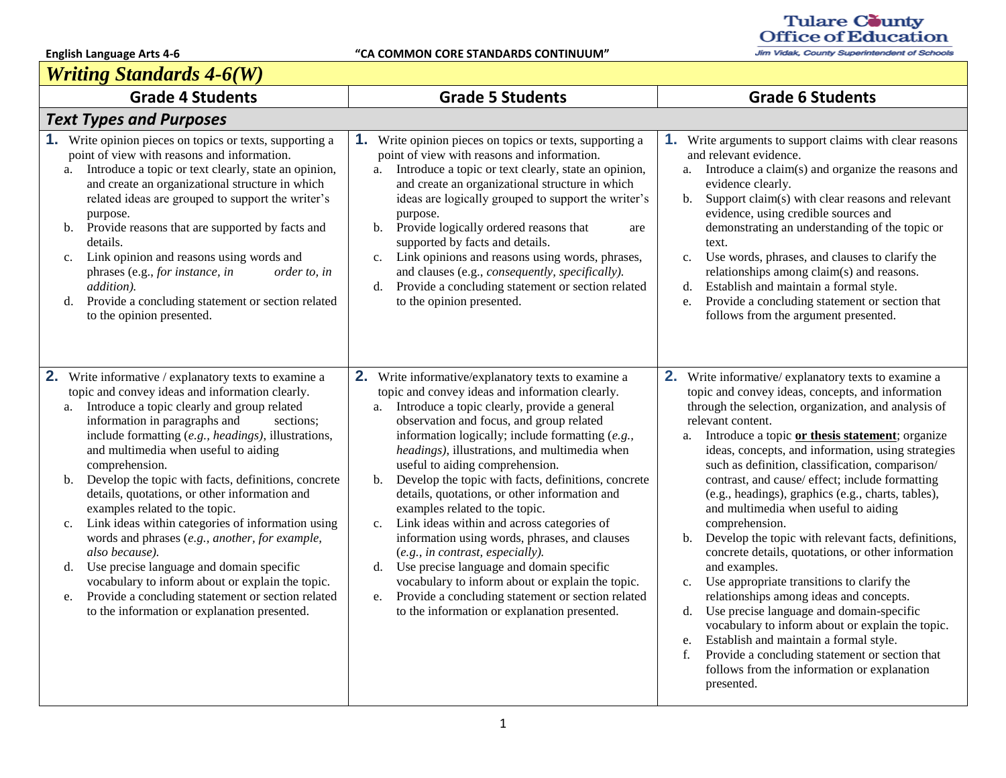English Language Arts 4-6

Tulare County<br>Office of Education

Jim Vidak, County Superintendent of Schools

| Writing Standards 4-6(W)                                                                                                                                                                                                                                                                                                                                                                                                                                                                                                                                                                                                                                                                                                                                                                                                           |                                                                                                                                                                                                                                                                                                                                                                                                                                                                                                                                                                                                                                                                                                                                                                                                                                                               |                                                                                                                                                                                                                                                                                                                                                                                                                                                                                                                                                                                                                                                                                                                                                                                                                                                                                                                                                                                                                                                   |  |  |  |  |  |
|------------------------------------------------------------------------------------------------------------------------------------------------------------------------------------------------------------------------------------------------------------------------------------------------------------------------------------------------------------------------------------------------------------------------------------------------------------------------------------------------------------------------------------------------------------------------------------------------------------------------------------------------------------------------------------------------------------------------------------------------------------------------------------------------------------------------------------|---------------------------------------------------------------------------------------------------------------------------------------------------------------------------------------------------------------------------------------------------------------------------------------------------------------------------------------------------------------------------------------------------------------------------------------------------------------------------------------------------------------------------------------------------------------------------------------------------------------------------------------------------------------------------------------------------------------------------------------------------------------------------------------------------------------------------------------------------------------|---------------------------------------------------------------------------------------------------------------------------------------------------------------------------------------------------------------------------------------------------------------------------------------------------------------------------------------------------------------------------------------------------------------------------------------------------------------------------------------------------------------------------------------------------------------------------------------------------------------------------------------------------------------------------------------------------------------------------------------------------------------------------------------------------------------------------------------------------------------------------------------------------------------------------------------------------------------------------------------------------------------------------------------------------|--|--|--|--|--|
| <b>Grade 4 Students</b>                                                                                                                                                                                                                                                                                                                                                                                                                                                                                                                                                                                                                                                                                                                                                                                                            | <b>Grade 5 Students</b>                                                                                                                                                                                                                                                                                                                                                                                                                                                                                                                                                                                                                                                                                                                                                                                                                                       | <b>Grade 6 Students</b>                                                                                                                                                                                                                                                                                                                                                                                                                                                                                                                                                                                                                                                                                                                                                                                                                                                                                                                                                                                                                           |  |  |  |  |  |
| <b>Text Types and Purposes</b>                                                                                                                                                                                                                                                                                                                                                                                                                                                                                                                                                                                                                                                                                                                                                                                                     |                                                                                                                                                                                                                                                                                                                                                                                                                                                                                                                                                                                                                                                                                                                                                                                                                                                               |                                                                                                                                                                                                                                                                                                                                                                                                                                                                                                                                                                                                                                                                                                                                                                                                                                                                                                                                                                                                                                                   |  |  |  |  |  |
| <b>1.</b> Write opinion pieces on topics or texts, supporting a<br>point of view with reasons and information.<br>a. Introduce a topic or text clearly, state an opinion,<br>and create an organizational structure in which<br>related ideas are grouped to support the writer's<br>purpose.<br>b. Provide reasons that are supported by facts and<br>details.<br>Link opinion and reasons using words and<br>c.<br>phrases (e.g., for instance, in<br>order to, in<br>addition).<br>Provide a concluding statement or section related<br>d.<br>to the opinion presented.                                                                                                                                                                                                                                                         | <b>1.</b> Write opinion pieces on topics or texts, supporting a<br>point of view with reasons and information.<br>a. Introduce a topic or text clearly, state an opinion,<br>and create an organizational structure in which<br>ideas are logically grouped to support the writer's<br>purpose.<br>b. Provide logically ordered reasons that<br>are<br>supported by facts and details.<br>Link opinions and reasons using words, phrases,<br>c.<br>and clauses (e.g., consequently, specifically).<br>Provide a concluding statement or section related<br>d.<br>to the opinion presented.                                                                                                                                                                                                                                                                    | <b>1.</b> Write arguments to support claims with clear reasons<br>and relevant evidence.<br>a. Introduce a claim(s) and organize the reasons and<br>evidence clearly.<br>Support claim(s) with clear reasons and relevant<br>b.<br>evidence, using credible sources and<br>demonstrating an understanding of the topic or<br>text.<br>Use words, phrases, and clauses to clarify the<br>c.<br>relationships among claim(s) and reasons.<br>Establish and maintain a formal style.<br>$d_{\cdot}$<br>Provide a concluding statement or section that<br>e.<br>follows from the argument presented.                                                                                                                                                                                                                                                                                                                                                                                                                                                  |  |  |  |  |  |
| 2. Write informative / explanatory texts to examine a<br>topic and convey ideas and information clearly.<br>a. Introduce a topic clearly and group related<br>information in paragraphs and<br>sections:<br>include formatting (e.g., headings), illustrations,<br>and multimedia when useful to aiding<br>comprehension.<br>Develop the topic with facts, definitions, concrete<br>b.<br>details, quotations, or other information and<br>examples related to the topic.<br>Link ideas within categories of information using<br>c.<br>words and phrases (e.g., another, for example,<br>also because).<br>Use precise language and domain specific<br>$d_{\cdot}$<br>vocabulary to inform about or explain the topic.<br>Provide a concluding statement or section related<br>e.<br>to the information or explanation presented. | 2. Write informative/explanatory texts to examine a<br>topic and convey ideas and information clearly.<br>Introduce a topic clearly, provide a general<br>a.<br>observation and focus, and group related<br>information logically; include formatting (e.g.,<br>headings), illustrations, and multimedia when<br>useful to aiding comprehension.<br>Develop the topic with facts, definitions, concrete<br>$b$ .<br>details, quotations, or other information and<br>examples related to the topic.<br>Link ideas within and across categories of<br>c.<br>information using words, phrases, and clauses<br>(e.g., in contrast, especially).<br>Use precise language and domain specific<br>d.<br>vocabulary to inform about or explain the topic.<br>Provide a concluding statement or section related<br>e.<br>to the information or explanation presented. | 2. Write informative/explanatory texts to examine a<br>topic and convey ideas, concepts, and information<br>through the selection, organization, and analysis of<br>relevant content.<br>Introduce a topic or thesis statement; organize<br>a.<br>ideas, concepts, and information, using strategies<br>such as definition, classification, comparison/<br>contrast, and cause/ effect; include formatting<br>(e.g., headings), graphics (e.g., charts, tables),<br>and multimedia when useful to aiding<br>comprehension.<br>Develop the topic with relevant facts, definitions,<br>b.<br>concrete details, quotations, or other information<br>and examples.<br>Use appropriate transitions to clarify the<br>$c_{\cdot}$<br>relationships among ideas and concepts.<br>Use precise language and domain-specific<br>d.<br>vocabulary to inform about or explain the topic.<br>Establish and maintain a formal style.<br>e.<br>Provide a concluding statement or section that<br>f.<br>follows from the information or explanation<br>presented. |  |  |  |  |  |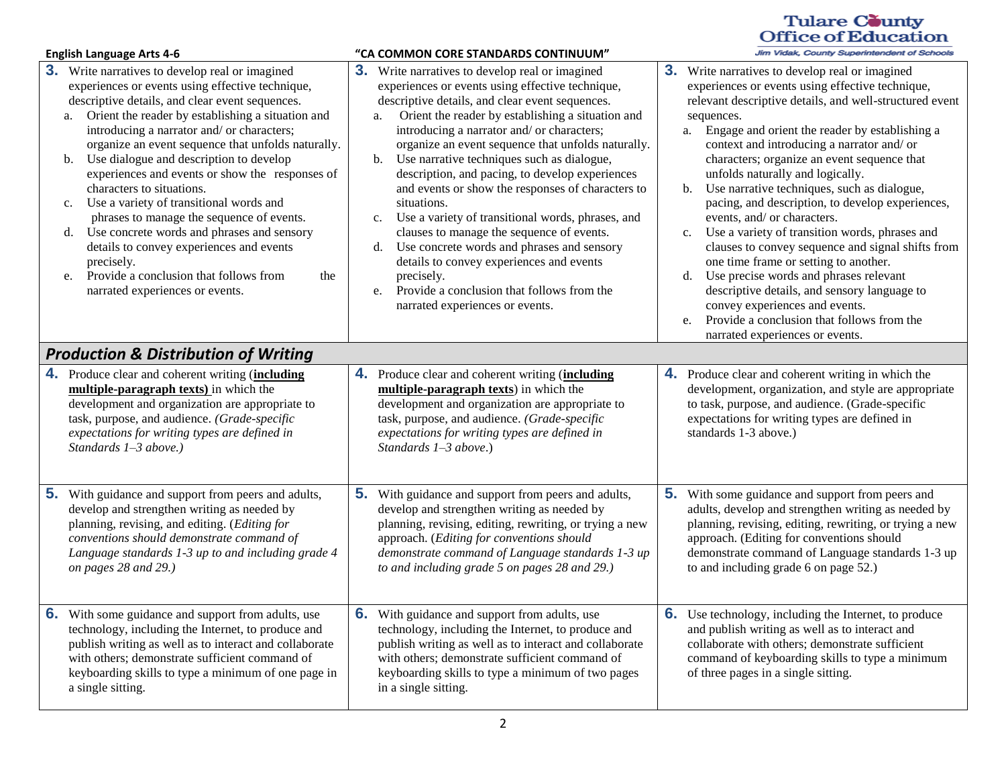|                                                                                                                                                                                                                                                                                                                                                                                                                                                                                                                                                                                                                                                                                                                                                                     |                                                                                                                                                                                                                                                                                                                                                                                                                                                                                                                                                                                                                                                                                                                                                                                                                      |    | <b>Tulare County</b><br><b>Office of Education</b>                                                                                                                                                                                                                                                                                                                                                                                                                                                                                                                                                                                                                                                                                                                                                                                                                                     |
|---------------------------------------------------------------------------------------------------------------------------------------------------------------------------------------------------------------------------------------------------------------------------------------------------------------------------------------------------------------------------------------------------------------------------------------------------------------------------------------------------------------------------------------------------------------------------------------------------------------------------------------------------------------------------------------------------------------------------------------------------------------------|----------------------------------------------------------------------------------------------------------------------------------------------------------------------------------------------------------------------------------------------------------------------------------------------------------------------------------------------------------------------------------------------------------------------------------------------------------------------------------------------------------------------------------------------------------------------------------------------------------------------------------------------------------------------------------------------------------------------------------------------------------------------------------------------------------------------|----|----------------------------------------------------------------------------------------------------------------------------------------------------------------------------------------------------------------------------------------------------------------------------------------------------------------------------------------------------------------------------------------------------------------------------------------------------------------------------------------------------------------------------------------------------------------------------------------------------------------------------------------------------------------------------------------------------------------------------------------------------------------------------------------------------------------------------------------------------------------------------------------|
| <b>English Language Arts 4-6</b>                                                                                                                                                                                                                                                                                                                                                                                                                                                                                                                                                                                                                                                                                                                                    | "CA COMMON CORE STANDARDS CONTINUUM"                                                                                                                                                                                                                                                                                                                                                                                                                                                                                                                                                                                                                                                                                                                                                                                 |    | <b>Jim Vidak, County Superintendent of Schools</b>                                                                                                                                                                                                                                                                                                                                                                                                                                                                                                                                                                                                                                                                                                                                                                                                                                     |
| <b>3.</b> Write narratives to develop real or imagined<br>experiences or events using effective technique,<br>descriptive details, and clear event sequences.<br>Orient the reader by establishing a situation and<br>a.<br>introducing a narrator and/ or characters;<br>organize an event sequence that unfolds naturally.<br>Use dialogue and description to develop<br>b.<br>experiences and events or show the responses of<br>characters to situations.<br>Use a variety of transitional words and<br>c.<br>phrases to manage the sequence of events.<br>Use concrete words and phrases and sensory<br>d.<br>details to convey experiences and events<br>precisely.<br>Provide a conclusion that follows from<br>the<br>e.<br>narrated experiences or events. | <b>3.</b> Write narratives to develop real or imagined<br>experiences or events using effective technique,<br>descriptive details, and clear event sequences.<br>Orient the reader by establishing a situation and<br>a.<br>introducing a narrator and/ or characters;<br>organize an event sequence that unfolds naturally.<br>Use narrative techniques such as dialogue,<br>b.<br>description, and pacing, to develop experiences<br>and events or show the responses of characters to<br>situations.<br>Use a variety of transitional words, phrases, and<br>c.<br>clauses to manage the sequence of events.<br>Use concrete words and phrases and sensory<br>d.<br>details to convey experiences and events<br>precisely.<br>Provide a conclusion that follows from the<br>e.<br>narrated experiences or events. | 3. | Write narratives to develop real or imagined<br>experiences or events using effective technique,<br>relevant descriptive details, and well-structured event<br>sequences.<br>a. Engage and orient the reader by establishing a<br>context and introducing a narrator and/ or<br>characters; organize an event sequence that<br>unfolds naturally and logically.<br>Use narrative techniques, such as dialogue,<br>b.<br>pacing, and description, to develop experiences,<br>events, and/ or characters.<br>Use a variety of transition words, phrases and<br>c.<br>clauses to convey sequence and signal shifts from<br>one time frame or setting to another.<br>Use precise words and phrases relevant<br>d.<br>descriptive details, and sensory language to<br>convey experiences and events.<br>Provide a conclusion that follows from the<br>e.<br>narrated experiences or events. |
| <b>Production &amp; Distribution of Writing</b>                                                                                                                                                                                                                                                                                                                                                                                                                                                                                                                                                                                                                                                                                                                     |                                                                                                                                                                                                                                                                                                                                                                                                                                                                                                                                                                                                                                                                                                                                                                                                                      |    |                                                                                                                                                                                                                                                                                                                                                                                                                                                                                                                                                                                                                                                                                                                                                                                                                                                                                        |
| 4. Produce clear and coherent writing (including<br>multiple-paragraph texts) in which the<br>development and organization are appropriate to<br>task, purpose, and audience. (Grade-specific<br>expectations for writing types are defined in<br>Standards $1-3$ above.)                                                                                                                                                                                                                                                                                                                                                                                                                                                                                           | 4. Produce clear and coherent writing (including<br>multiple-paragraph texts) in which the<br>development and organization are appropriate to<br>task, purpose, and audience. (Grade-specific<br>expectations for writing types are defined in<br>Standards $1-3$ above.)                                                                                                                                                                                                                                                                                                                                                                                                                                                                                                                                            | 4. | Produce clear and coherent writing in which the<br>development, organization, and style are appropriate<br>to task, purpose, and audience. (Grade-specific<br>expectations for writing types are defined in<br>standards 1-3 above.)                                                                                                                                                                                                                                                                                                                                                                                                                                                                                                                                                                                                                                                   |
| <b>5.</b> With guidance and support from peers and adults,<br>develop and strengthen writing as needed by<br>planning, revising, and editing. (Editing for<br>conventions should demonstrate command of<br>Language standards 1-3 up to and including grade 4<br>on pages 28 and 29.)                                                                                                                                                                                                                                                                                                                                                                                                                                                                               | <b>5.</b> With guidance and support from peers and adults,<br>develop and strengthen writing as needed by<br>planning, revising, editing, rewriting, or trying a new<br>approach. (Editing for conventions should<br>demonstrate command of Language standards 1-3 up<br>to and including grade 5 on pages 28 and 29.)                                                                                                                                                                                                                                                                                                                                                                                                                                                                                               | 5. | With some guidance and support from peers and<br>adults, develop and strengthen writing as needed by<br>planning, revising, editing, rewriting, or trying a new<br>approach. (Editing for conventions should<br>demonstrate command of Language standards 1-3 up<br>to and including grade 6 on page 52.)                                                                                                                                                                                                                                                                                                                                                                                                                                                                                                                                                                              |
| <b>6.</b> With some guidance and support from adults, use<br>technology, including the Internet, to produce and<br>publish writing as well as to interact and collaborate<br>with others; demonstrate sufficient command of<br>keyboarding skills to type a minimum of one page in<br>a single sitting.                                                                                                                                                                                                                                                                                                                                                                                                                                                             | With guidance and support from adults, use<br>6.<br>technology, including the Internet, to produce and<br>publish writing as well as to interact and collaborate<br>with others; demonstrate sufficient command of<br>keyboarding skills to type a minimum of two pages<br>in a single sitting.                                                                                                                                                                                                                                                                                                                                                                                                                                                                                                                      | 6. | Use technology, including the Internet, to produce<br>and publish writing as well as to interact and<br>collaborate with others; demonstrate sufficient<br>command of keyboarding skills to type a minimum<br>of three pages in a single sitting.                                                                                                                                                                                                                                                                                                                                                                                                                                                                                                                                                                                                                                      |